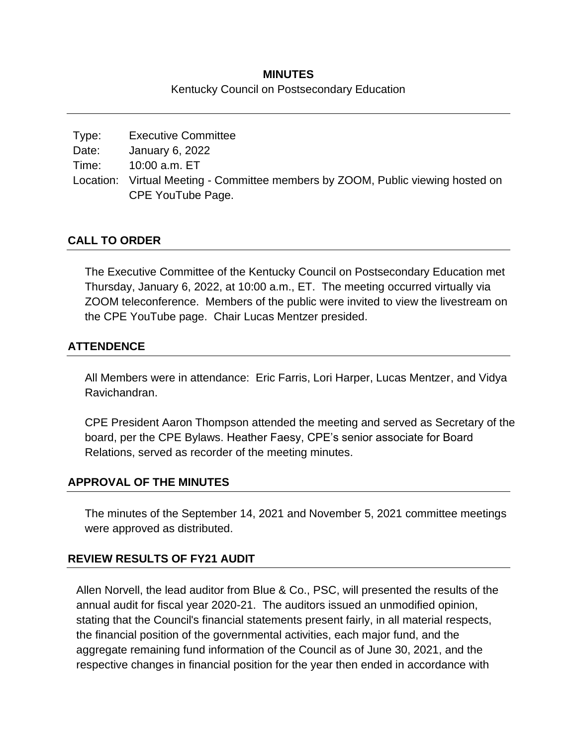# **MINUTES** Kentucky Council on Postsecondary Education

| Type: | <b>Executive Committee</b>                                                      |
|-------|---------------------------------------------------------------------------------|
| Date: | January 6, 2022                                                                 |
| Time: | 10:00 a.m. ET                                                                   |
|       | Location: Virtual Meeting - Committee members by ZOOM, Public viewing hosted on |
|       | CPE YouTube Page.                                                               |

# **CALL TO ORDER**

The Executive Committee of the Kentucky Council on Postsecondary Education met Thursday, January 6, 2022, at 10:00 a.m., ET. The meeting occurred virtually via ZOOM teleconference. Members of the public were invited to view the livestream on the CPE YouTube page. Chair Lucas Mentzer presided.

## **ATTENDENCE**

All Members were in attendance: Eric Farris, Lori Harper, Lucas Mentzer, and Vidya Ravichandran.

CPE President Aaron Thompson attended the meeting and served as Secretary of the board, per the CPE Bylaws. Heather Faesy, CPE's senior associate for Board Relations, served as recorder of the meeting minutes.

#### **APPROVAL OF THE MINUTES**

The minutes of the September 14, 2021 and November 5, 2021 committee meetings were approved as distributed.

# **REVIEW RESULTS OF FY21 AUDIT**

Allen Norvell, the lead auditor from Blue & Co., PSC, will presented the results of the annual audit for fiscal year 2020-21. The auditors issued an unmodified opinion, stating that the Council's financial statements present fairly, in all material respects, the financial position of the governmental activities, each major fund, and the aggregate remaining fund information of the Council as of June 30, 2021, and the respective changes in financial position for the year then ended in accordance with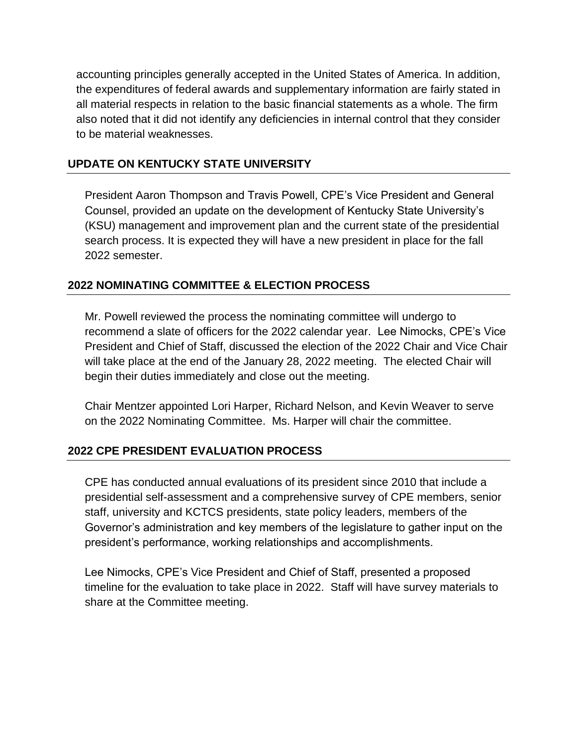accounting principles generally accepted in the United States of America. In addition, the expenditures of federal awards and supplementary information are fairly stated in all material respects in relation to the basic financial statements as a whole. The firm also noted that it did not identify any deficiencies in internal control that they consider to be material weaknesses.

# **UPDATE ON KENTUCKY STATE UNIVERSITY**

President Aaron Thompson and Travis Powell, CPE's Vice President and General Counsel, provided an update on the development of Kentucky State University's (KSU) management and improvement plan and the current state of the presidential search process. It is expected they will have a new president in place for the fall 2022 semester.

## **2022 NOMINATING COMMITTEE & ELECTION PROCESS**

Mr. Powell reviewed the process the nominating committee will undergo to recommend a slate of officers for the 2022 calendar year. Lee Nimocks, CPE's Vice President and Chief of Staff, discussed the election of the 2022 Chair and Vice Chair will take place at the end of the January 28, 2022 meeting. The elected Chair will begin their duties immediately and close out the meeting.

Chair Mentzer appointed Lori Harper, Richard Nelson, and Kevin Weaver to serve on the 2022 Nominating Committee. Ms. Harper will chair the committee.

#### **2022 CPE PRESIDENT EVALUATION PROCESS**

CPE has conducted annual evaluations of its president since 2010 that include a presidential self-assessment and a comprehensive survey of CPE members, senior staff, university and KCTCS presidents, state policy leaders, members of the Governor's administration and key members of the legislature to gather input on the president's performance, working relationships and accomplishments.

Lee Nimocks, CPE's Vice President and Chief of Staff, presented a proposed timeline for the evaluation to take place in 2022. Staff will have survey materials to share at the Committee meeting.